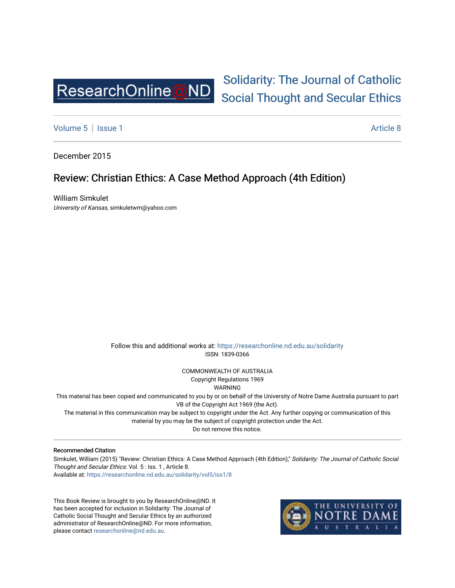

## [Solidarity: The Journal of Catholic](https://researchonline.nd.edu.au/solidarity)  [Social Thought and Secular Ethics](https://researchonline.nd.edu.au/solidarity)

[Volume 5](https://researchonline.nd.edu.au/solidarity/vol5) | [Issue 1](https://researchonline.nd.edu.au/solidarity/vol5/iss1) Article 8

December 2015

## Review: Christian Ethics: A Case Method Approach (4th Edition)

William Simkulet University of Kansas, simkuletwm@yahoo.com

> Follow this and additional works at: [https://researchonline.nd.edu.au/solidarity](https://researchonline.nd.edu.au/solidarity?utm_source=researchonline.nd.edu.au%2Fsolidarity%2Fvol5%2Fiss1%2F8&utm_medium=PDF&utm_campaign=PDFCoverPages)  ISSN: 1839-0366

> > COMMONWEALTH OF AUSTRALIA Copyright Regulations 1969

WARNING

This material has been copied and communicated to you by or on behalf of the University of Notre Dame Australia pursuant to part VB of the Copyright Act 1969 (the Act).

The material in this communication may be subject to copyright under the Act. Any further copying or communication of this material by you may be the subject of copyright protection under the Act.

Do not remove this notice.

## Recommended Citation

Simkulet, William (2015) "Review: Christian Ethics: A Case Method Approach (4th Edition)," Solidarity: The Journal of Catholic Social Thought and Secular Ethics: Vol. 5 : Iss. 1 , Article 8. Available at: [https://researchonline.nd.edu.au/solidarity/vol5/iss1/8](https://researchonline.nd.edu.au/solidarity/vol5/iss1/8?utm_source=researchonline.nd.edu.au%2Fsolidarity%2Fvol5%2Fiss1%2F8&utm_medium=PDF&utm_campaign=PDFCoverPages) 

This Book Review is brought to you by ResearchOnline@ND. It has been accepted for inclusion in Solidarity: The Journal of Catholic Social Thought and Secular Ethics by an authorized administrator of ResearchOnline@ND. For more information, please contact [researchonline@nd.edu.au.](mailto:researchonline@nd.edu.au)

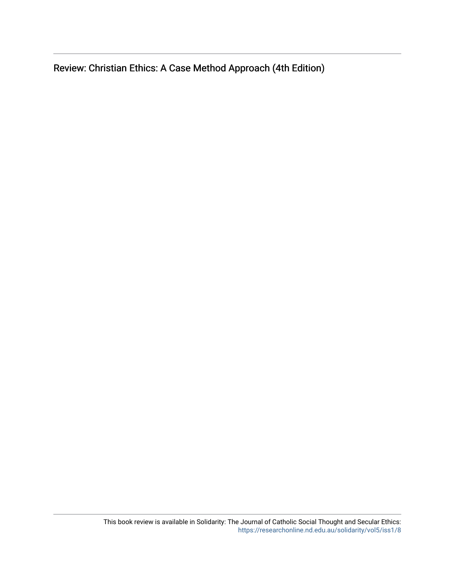Review: Christian Ethics: A Case Method Approach (4th Edition)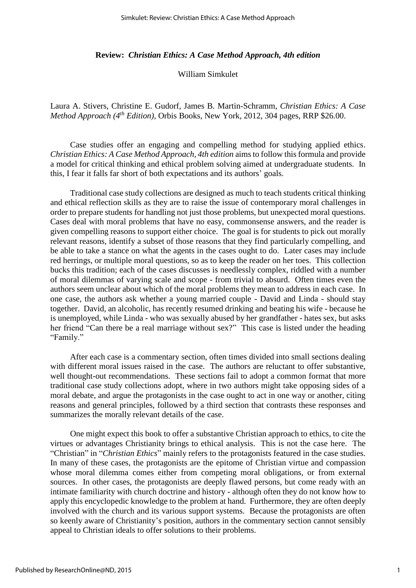## **Review:** *Christian Ethics: A Case Method Approach, 4th edition*

William Simkulet

Laura A. Stivers, Christine E. Gudorf, James B. Martin-Schramm, *Christian Ethics: A Case Method Approach (4th Edition)*, Orbis Books, New York, 2012, 304 pages, RRP \$26.00.

Case studies offer an engaging and compelling method for studying applied ethics. *Christian Ethics: A Case Method Approach, 4th edition* aims to follow this formula and provide a model for critical thinking and ethical problem solving aimed at undergraduate students. In this, I fear it falls far short of both expectations and its authors' goals.

Traditional case study collections are designed as much to teach students critical thinking and ethical reflection skills as they are to raise the issue of contemporary moral challenges in order to prepare students for handling not just those problems, but unexpected moral questions. Cases deal with moral problems that have no easy, commonsense answers, and the reader is given compelling reasons to support either choice. The goal is for students to pick out morally relevant reasons, identify a subset of those reasons that they find particularly compelling, and be able to take a stance on what the agents in the cases ought to do. Later cases may include red herrings, or multiple moral questions, so as to keep the reader on her toes. This collection bucks this tradition; each of the cases discusses is needlessly complex, riddled with a number of moral dilemmas of varying scale and scope - from trivial to absurd. Often times even the authors seem unclear about which of the moral problems they mean to address in each case. In one case, the authors ask whether a young married couple - David and Linda - should stay together. David, an alcoholic, has recently resumed drinking and beating his wife - because he is unemployed, while Linda - who was sexually abused by her grandfather - hates sex, but asks her friend "Can there be a real marriage without sex?" This case is listed under the heading "Family."

After each case is a commentary section, often times divided into small sections dealing with different moral issues raised in the case. The authors are reluctant to offer substantive, well thought-out recommendations. These sections fail to adopt a common format that more traditional case study collections adopt, where in two authors might take opposing sides of a moral debate, and argue the protagonists in the case ought to act in one way or another, citing reasons and general principles, followed by a third section that contrasts these responses and summarizes the morally relevant details of the case.

One might expect this book to offer a substantive Christian approach to ethics, to cite the virtues or advantages Christianity brings to ethical analysis. This is not the case here. The "Christian" in "*Christian Ethics*" mainly refers to the protagonists featured in the case studies. In many of these cases, the protagonists are the epitome of Christian virtue and compassion whose moral dilemma comes either from competing moral obligations, or from external sources. In other cases, the protagonists are deeply flawed persons, but come ready with an intimate familiarity with church doctrine and history - although often they do not know how to apply this encyclopedic knowledge to the problem at hand. Furthermore, they are often deeply involved with the church and its various support systems. Because the protagonists are often so keenly aware of Christianity's position, authors in the commentary section cannot sensibly appeal to Christian ideals to offer solutions to their problems.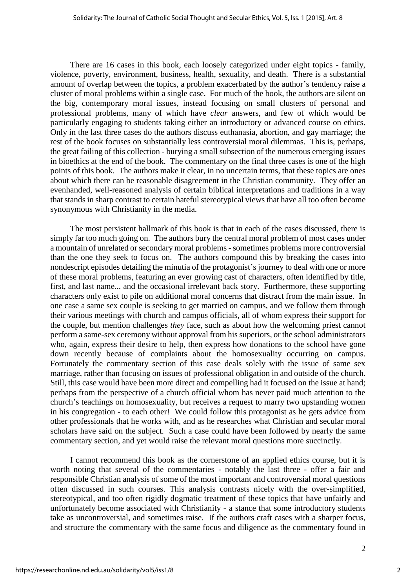There are 16 cases in this book, each loosely categorized under eight topics - family, violence, poverty, environment, business, health, sexuality, and death. There is a substantial amount of overlap between the topics, a problem exacerbated by the author's tendency raise a cluster of moral problems within a single case. For much of the book, the authors are silent on the big, contemporary moral issues, instead focusing on small clusters of personal and professional problems, many of which have *clear* answers, and few of which would be particularly engaging to students taking either an introductory or advanced course on ethics. Only in the last three cases do the authors discuss euthanasia, abortion, and gay marriage; the rest of the book focuses on substantially less controversial moral dilemmas. This is, perhaps, the great failing of this collection - burying a small subsection of the numerous emerging issues in bioethics at the end of the book. The commentary on the final three cases is one of the high points of this book. The authors make it clear, in no uncertain terms, that these topics are ones about which there can be reasonable disagreement in the Christian community. They offer an evenhanded, well-reasoned analysis of certain biblical interpretations and traditions in a way that stands in sharp contrast to certain hateful stereotypical views that have all too often become synonymous with Christianity in the media.

The most persistent hallmark of this book is that in each of the cases discussed, there is simply far too much going on. The authors bury the central moral problem of most cases under a mountain of unrelated or secondary moral problems -sometimes problems more controversial than the one they seek to focus on. The authors compound this by breaking the cases into nondescript episodes detailing the minutia of the protagonist's journey to deal with one or more of these moral problems, featuring an ever growing cast of characters, often identified by title, first, and last name... and the occasional irrelevant back story. Furthermore, these supporting characters only exist to pile on additional moral concerns that distract from the main issue. In one case a same sex couple is seeking to get married on campus, and we follow them through their various meetings with church and campus officials, all of whom express their support for the couple, but mention challenges *they* face, such as about how the welcoming priest cannot perform a same-sex ceremony without approval from his superiors, or the school administrators who, again, express their desire to help, then express how donations to the school have gone down recently because of complaints about the homosexuality occurring on campus. Fortunately the commentary section of this case deals solely with the issue of same sex marriage, rather than focusing on issues of professional obligation in and outside of the church. Still, this case would have been more direct and compelling had it focused on the issue at hand; perhaps from the perspective of a church official whom has never paid much attention to the church's teachings on homosexuality, but receives a request to marry two upstanding women in his congregation - to each other! We could follow this protagonist as he gets advice from other professionals that he works with, and as he researches what Christian and secular moral scholars have said on the subject. Such a case could have been followed by nearly the same commentary section, and yet would raise the relevant moral questions more succinctly.

I cannot recommend this book as the cornerstone of an applied ethics course, but it is worth noting that several of the commentaries - notably the last three - offer a fair and responsible Christian analysis of some of the most important and controversial moral questions often discussed in such courses. This analysis contrasts nicely with the over-simplified, stereotypical, and too often rigidly dogmatic treatment of these topics that have unfairly and unfortunately become associated with Christianity - a stance that some introductory students take as uncontroversial, and sometimes raise. If the authors craft cases with a sharper focus, and structure the commentary with the same focus and diligence as the commentary found in

2